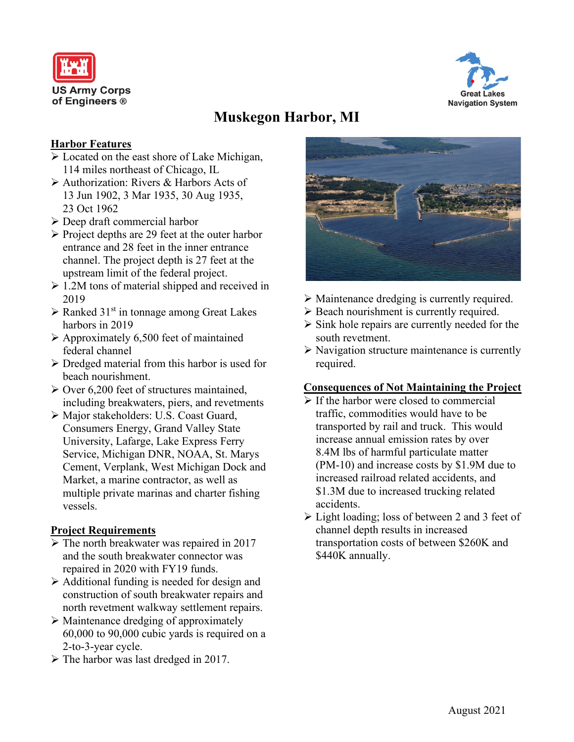



# **Muskegon Harbor, MI**

## **Harbor Features**

- Located on the east shore of Lake Michigan, 114 miles northeast of Chicago, IL
- Authorization: Rivers & Harbors Acts of 13 Jun 1902, 3 Mar 1935, 30 Aug 1935, 23 Oct 1962
- Deep draft commercial harbor
- $\triangleright$  Project depths are 29 feet at the outer harbor entrance and 28 feet in the inner entrance channel. The project depth is 27 feet at the upstream limit of the federal project.
- $\geq 1.2M$  tons of material shipped and received in 2019
- $\triangleright$  Ranked 31<sup>st</sup> in tonnage among Great Lakes harbors in 2019
- $\triangleright$  Approximately 6,500 feet of maintained federal channel
- $\triangleright$  Dredged material from this harbor is used for beach nourishment.
- $\geq$  Over 6,200 feet of structures maintained, including breakwaters, piers, and revetments
- Major stakeholders: U.S. Coast Guard, Consumers Energy, Grand Valley State University, Lafarge, Lake Express Ferry Service, Michigan DNR, NOAA, St. Marys Cement, Verplank, West Michigan Dock and Market, a marine contractor, as well as multiple private marinas and charter fishing vessels.

## **Project Requirements**

- $\triangleright$  The north breakwater was repaired in 2017 and the south breakwater connector was repaired in 2020 with FY19 funds.
- $\triangleright$  Additional funding is needed for design and construction of south breakwater repairs and north revetment walkway settlement repairs.
- $\triangleright$  Maintenance dredging of approximately 60,000 to 90,000 cubic yards is required on a 2-to-3-year cycle.
- $\triangleright$  The harbor was last dredged in 2017.



- Maintenance dredging is currently required.
- $\triangleright$  Beach nourishment is currently required.
- $\triangleright$  Sink hole repairs are currently needed for the south revetment.
- $\triangleright$  Navigation structure maintenance is currently required.

#### **Consequences of Not Maintaining the Project**

- $\triangleright$  If the harbor were closed to commercial traffic, commodities would have to be transported by rail and truck. This would increase annual emission rates by over 8.4M lbs of harmful particulate matter (PM-10) and increase costs by \$1.9M due to increased railroad related accidents, and \$1.3M due to increased trucking related accidents.
- $\triangleright$  Light loading; loss of between 2 and 3 feet of channel depth results in increased transportation costs of between \$260K and \$440K annually.